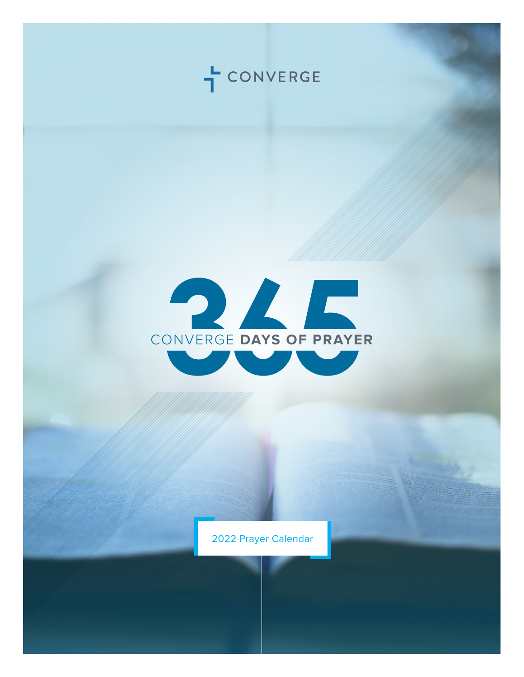



2022 Prayer Calendar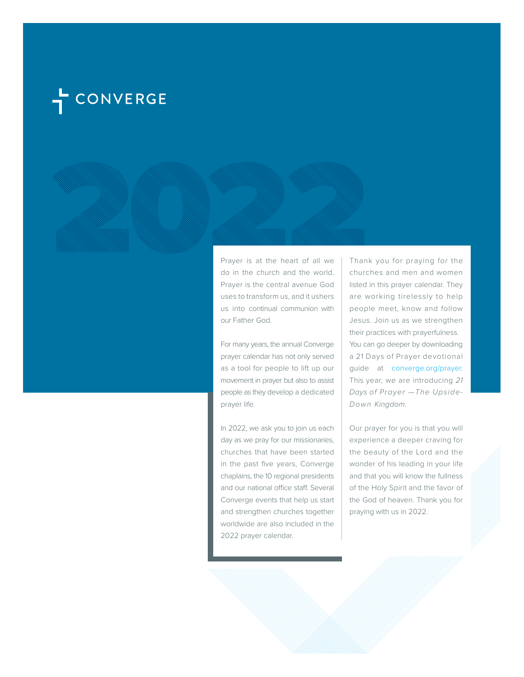# CONVERGE

Prayer is at the heart of all we do in the church and the world. Prayer is the central avenue God uses to transform us, and it ushers us into continual communion with our Father God.

For many years, the annual Converge prayer calendar has not only served as a tool for people to lift up our movement in prayer but also to assist people as they develop a dedicated prayer life.

In 2022, we ask you to join us each day as we pray for our missionaries, churches that have been started in the past five years, Converge chaplains, the 10 regional presidents and our national office staff. Several Converge events that help us start and strengthen churches together worldwide are also included in the 2022 prayer calendar.

Thank you for praying for the churches and men and women listed in this prayer calendar. They are working tirelessly to help people meet, know and follow Jesus. Join us as we strengthen their practices with prayerfulness. You can go deeper by downloading a 21 Days of Prayer devotional guide at converge.org/prayer. This year, we are introducing *21 Days of Prayer —The Upside-Down Kingdom.*

Our prayer for you is that you will experience a deeper craving for the beauty of the Lord and the wonder of his leading in your life and that you will know the fullness of the Holy Spirit and the favor of the God of heaven. Thank you for praying with us in 2022.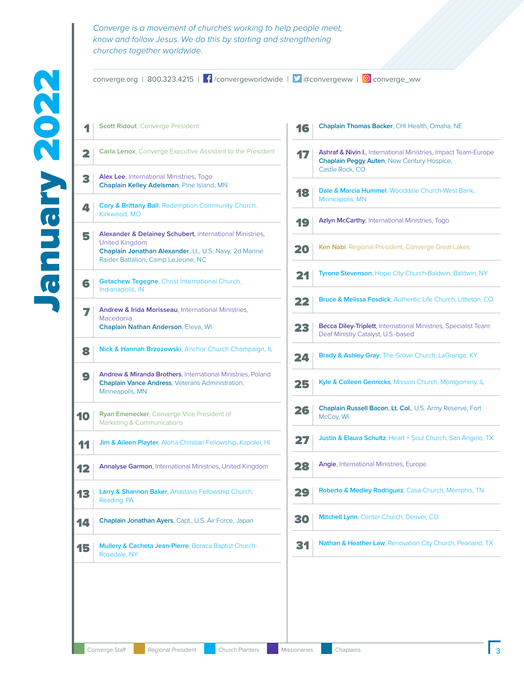converge.org | 800.323.4215 |  $\int$  /convergeworldwide |  $\int$  @convergeww | © converge\_ww

**1 Scott Ridout**, Converge President **2 Carla Lenox**, Converge Executive Assistant to the President 3 **Alex Lee**, International Ministries, Togo **Chaplain Kelley Adelsman**, Pine Island, MN **Cory & Brittany Ball**, Redemption Community Church, Kirkwood, MO 5 **Alexander & Delainey Schubert**, International Ministries, United Kingdom **Chaplain Jonathan Alexander**, Lt., U.S. Navy, 2d Marine Raider Battalion, Camp LeJeune, NC 6 **Getachew Tegegne**, Christ International Church, Indianapolis, IN 7 **Andrew & Irida Morisseau**, International Ministries, Macedonia **Chaplain Nathan Anderson**, Eleva, WI 8 **Nick & Hannah Brzozowski**, Anchor Church Champaign, IL **9 Andrew & Miranda Brothers**, International Ministries, Poland **Chaplain Vance Andress**, Veterans Administration, Minneapolis, MN **10 Ryan Emenecker**, Converge Vice President of Marketing & Communications **11 Jim & Aileen Playter**, Aloha Christian Fellowship, Kapolei, HI **12** Annalyse Garmon, International Ministries, United Kingdom **13** Larry & Shannon Baker, Anastasis Fellowship Church, Reading, PA **14** Chaplain Jonathan Ayers, Capt., U.S. Air Force, Japan 15 **Mullery & Cacheta Jean-Pierre**, Beraca Baptist Church-Rosedale, NY Castle Rock, CO Minneapolis, MN McCoy, WI

| 16            | Chaplain Thomas Backer, CHI Health, Omaha, NE                                                                                           |
|---------------|-----------------------------------------------------------------------------------------------------------------------------------------|
| $\mathbf{17}$ | Ashraf & Nivin I., International Ministries, Impact Team-Europe<br><b>Chaplain Peggy Auten, New Century Hospice,</b><br>Castle Rock, CO |
| 18            | Dale & Marcia Hummel, Wooddale Church-West Bank,<br>Minneapolis, MN                                                                     |
| 19            | Azlyn McCarthy, International Ministries, Togo                                                                                          |
| 20            | Ken Nabi, Regional President, Converge Great Lakes                                                                                      |
| 21            | Tyrone Stevenson, Hope City Church-Baldwin, Baldwin, NY                                                                                 |
| 22            | <b>Bruce &amp; Melissa Fosdick, Authentic Life Church, Littleton, CO</b>                                                                |
| 23            | <b>Becca Diley-Triplett</b> , International Ministries, Specialist Team:<br>Deaf Ministry Catalyst, U.S.-based                          |
| 24            | <b>Brady &amp; Ashley Gray, The Grove Church, LaGrange, KY</b>                                                                          |
| 25            | Kyle & Colleen Gennicks, Mission Church, Montgomery, IL                                                                                 |
| 26            | <b>Chaplain Russell Bacon, Lt. Col., U.S. Army Reserve, Fort</b><br>McCoy, WI                                                           |
| 27            | <b>Justin &amp; Elaura Schultz</b> , Heart + Soul Church, San Angelo, TX                                                                |
| 28            | <b>Angie, International Ministries, Europe</b>                                                                                          |
| 29            | Roberto & Medley Rodriguez, Casa Church, Memphis, TN                                                                                    |
| 30            | Mitchell Lynn, Center Church, Denver, CO                                                                                                |
| 31            | <b>Nathan &amp; Heather Law, Renovation City Church, Pearland, TX</b>                                                                   |
|               |                                                                                                                                         |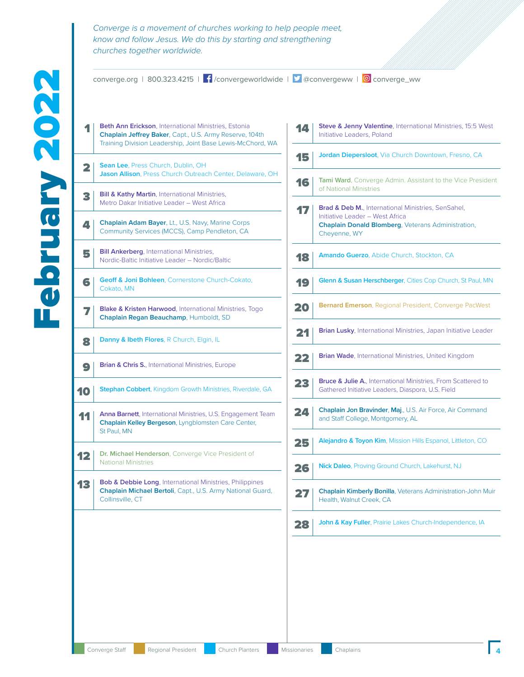converge.org | 800.323.4215 |  $\int$  /convergeworldwide |  $\int$  @convergeww | © converge\_ww **1 Beth Ann Erickson**, International Ministries, Estonia **Chaplain Jeffrey Baker**, Capt., U.S. Army Reserve, 104th Training Division Leadership, Joint Base Lewis-McChord, WA **2 Sean Lee**, Press Church, Dublin, OH **Jason Allison**, Press Church Outreach Center, Delaware, OH **3 Bill & Kathy Martin**, International Ministries, Metro Dakar Initiative Leader – West Africa **4 Chaplain Adam Bayer**, Lt., U.S. Navy, Marine Corps Community Services (MCCS), Camp Pendleton, CA **Bill Ankerberg**, International Ministries, Nordic-Baltic Initiative Leader – Nordic/Baltic **6 Geoff & Joni Bohleen**, Cornerstone Church-Cokato, Cokato, MN **7 Blake & Kristen Harwood**, International Ministries, Togo **Chaplain Regan Beauchamp**, Humboldt, SD 8 **Danny & Ibeth Flores**, R Church, Elgin, IL **9 Brian & Chris S.**, International Ministries, Europe **10** Stephan Cobbert, Kingdom Growth Ministries, Riverdale, GA **11** Anna Barnett, International Ministries, U.S. Engagement Team **Chaplain Kelley Bergeson**, Lyngblomsten Care Center, St Paul, MN **12** Dr. Michael Henderson, Converge Vice President of National Ministries **13** Bob & Debbie Long, International Ministries, Philippines **Chaplain Michael Bertoli**, Capt., U.S. Army National Guard, Collinsville, CT **14** Steve & Jenny Valentine, International Ministries, 15:5 West Initiative Leaders, Poland 15 **Jordan Diepersloot**, Via Church Downtown, Fresno, CA **16** Tami Ward, Converge Admin. Assistant to the Vice President of National Ministries **17** Brad & Deb M., International Ministries, SenSahel, Initiative Leader – West Africa **Chaplain Donald Blomberg**, Veterans Administration, Cheyenne, WY **18** Amando Guerzo, Abide Church, Stockton, CA **19 Glenn & Susan Herschberger**, Cities Cop Church, St Paul, MN 20 **Bernard Emerson**, Regional President, Converge PacWest **21 Brian Lusky**, International Ministries, Japan Initiative Leader **22 Brian Wade**, International Ministries, United Kingdom **23 Bruce & Julie A.**, International Ministries, From Scattered to Gathered Initiative Leaders, Diaspora, U.S. Field 24 **Chaplain Jon Bravinder**, **Maj**., U.S. Air Force, Air Command and Staff College, Montgomery, AL 25 **Alejandro & Toyon Kim**, Mission Hills Espanol, Littleton, CO **26** Nick Daleo, Proving Ground Church, Lakehurst, NJ 27 **Chaplain Kimberly Bonilla**, Veterans Administration-John Muir Health, Walnut Creek, CA 28 **John & Kay Fuller**, Prairie Lakes Church-Independence, IA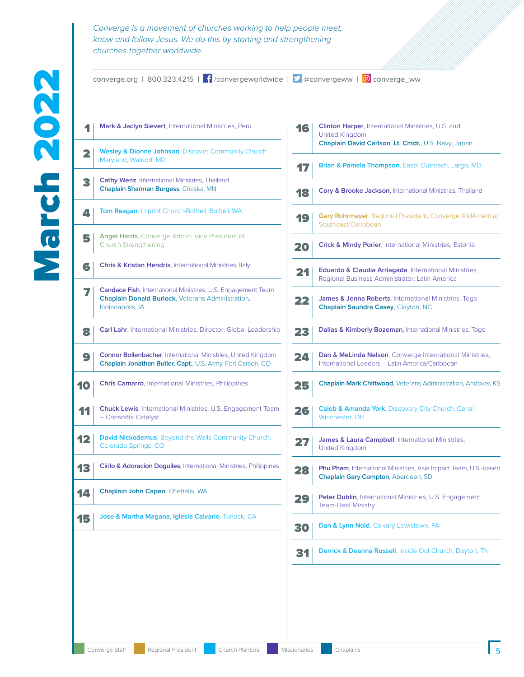converge.org | 800.323.4215 |  $\int$  /convergeworldwide |  $\int$  @convergeww | © converge\_ww

**Mark & Jaclyn Sievert**, International Ministries, Peru **Wesley & Dionne Johnson**, Discover Community Church-Maryland, Waldorf, MD **Cathy Wenz**, International Ministries, Thailand **Chaplain Sharman Burgess**, Chaska, MN **4 Tom Reagan**, Imprint Church-Bothell, Bothell, WA **Angel Harris**, Converge Admin. Vice President of Church Strengthening **Chris & Kristan Hendrix**, International Ministries, Italy **Candace Fish**, International Ministries, U.S. Engagement Team **Chaplain Donald Burlock**, Veterans Administration, Indianapolis, IA **Carl Lahr**, International Ministries, Director: Global Leadership **Connor Bollenbacher**, International Ministries, United Kingdom **Chaplain Jonathan Butler**, **Capt.**, U.S. Army, Fort Carson, CO **Chris Camarro**, International Ministries, Philippines Chuck Lewis, International Ministries, U.S. Engagement Team – Consortia Catalyst **David Nickodemus**, Beyond the Walls Community Church, Colorado Springs, CO **Cirilo & Adoracion Doguiles**, International Ministries, Philippines Chaplain John Capen, Chehalis, WA **Jose & Martha Magana**, **Iglesia Calvario**, Turlock, CA

| 16   | <b>Clinton Harper, International Ministries, U.S. and</b><br><b>United Kingdom</b><br>Chaplain David Carlson, Lt. Cmdr., U.S. Navy, Japan |
|------|-------------------------------------------------------------------------------------------------------------------------------------------|
| 17   | <b>Brian &amp; Pamela Thompson, Easel Outreach, Largo, MD</b>                                                                             |
| 18   | <b>Cory &amp; Brooke Jackson, International Ministries, Thailand</b>                                                                      |
| 19   | <b>Gary Rohrmayer</b> , Regional President, Converge MidAmerica/<br>Southeast/Caribbean                                                   |
| 20   | <b>Crick &amp; Mindy Porier, International Ministries, Estonia</b>                                                                        |
| 21   | <b>Eduardo &amp; Claudia Arriagada</b> , International Ministries,<br>Regional Business Administrator: Latin America                      |
| 22   | <b>James &amp; Jenna Roberts, International Ministries, Togo</b><br><b>Chaplain Saundra Casey, Clayton, NC</b>                            |
| 23   | <b>Dallas &amp; Kimberly Bozeman, International Ministries, Togo</b>                                                                      |
| 24   | <b>Dan &amp; MeLinda Nelson, Converge International Ministries,</b><br>International Leaders - Latin America/Caribbean                    |
| 25   | <b>Chaplain Mark Chittwood, Veterans Administration, Andover, KS</b>                                                                      |
| 26   | <b>Caleb &amp; Amanda York, Discovery City Church, Canal</b><br>Winchester, OH                                                            |
| 27   | <b>James &amp; Laura Campbell, International Ministries,</b><br><b>United Kingdom</b>                                                     |
| 28   | <b>Phu Pham, International Ministries, Asia Impact Team, U.S.-based</b><br>Chaplain Gary Compton, Aberdeen, SD                            |
|      | Peter Dublin, International Ministries, U.S. Engagement<br><b>Team-Deaf Ministry</b>                                                      |
| 30   | Dan & Lynn Nold, Calvary-Lewistown, PA                                                                                                    |
| CY 1 | Derrick & Deanna Russell, Inside Out Church, Dayton, TN                                                                                   |
|      |                                                                                                                                           |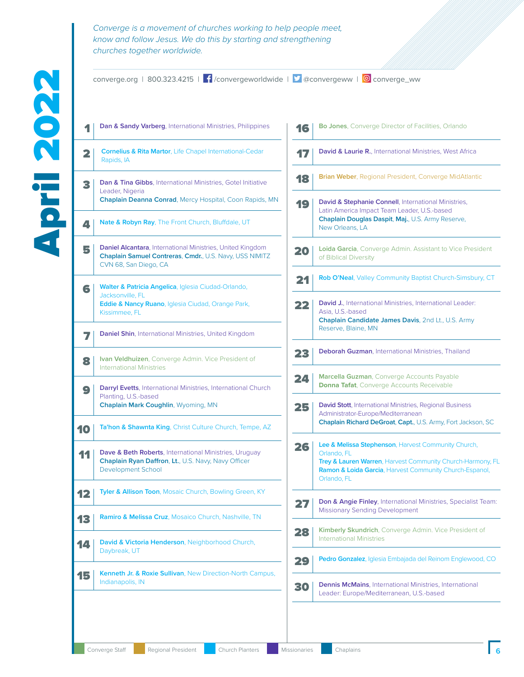converge.org | 800.323.4215 |  $\int$  /convergeworldwide |  $\int$  @convergeww | © converge\_ww

**1** Dan & Sandy Varberg, International Ministries, Philippines

**2 Cornelius & Rita Martor**, Life Chapel International-Cedar

|    | Rapids, IA                                                                                                                                               |
|----|----------------------------------------------------------------------------------------------------------------------------------------------------------|
| 3  | <b>Dan &amp; Tina Gibbs, International Ministries, Gotel Initiative</b><br>Leader, Nigeria<br>Chaplain Deanna Conrad, Mercy Hospital, Coon Rapids, MN    |
| 4  | <b>Nate &amp; Robyn Ray, The Front Church, Bluffdale, UT</b>                                                                                             |
| 5  | <b>Daniel Alcantara</b> , International Ministries, United Kingdom<br>Chaplain Samuel Contreras, Cmdr., U.S. Navy, USS NIMITZ<br>CVN 68, San Diego, CA   |
| 6  | <b>Walter &amp; Patricia Angelica, Iglesia Ciudad-Orlando,</b><br>Jacksonville, FL<br>Eddie & Nancy Ruano, Iglesia Ciudad, Orange Park,<br>Kissimmee, FL |
|    | <b>Daniel Shin, International Ministries, United Kingdom</b>                                                                                             |
| 8  | <b>Ivan Veldhuizen, Converge Admin. Vice President of</b><br><b>International Ministries</b>                                                             |
| 9  | <b>Darryl Evetts, International Ministries, International Church</b><br>Planting, U.S.-based<br>Chaplain Mark Coughlin, Wyoming, MN                      |
| 10 | Ta'hon & Shawnta King, Christ Culture Church, Tempe, AZ                                                                                                  |
| 11 | <b>Dave &amp; Beth Roberts, International Ministries, Uruguay</b><br>Chaplain Ryan Daffron, Lt., U.S. Navy, Navy Officer<br><b>Development School</b>    |
| 12 | <b>Tyler &amp; Allison Toon, Mosaic Church, Bowling Green, KY</b>                                                                                        |
| 13 | <b>Ramiro &amp; Melissa Cruz, Mosaico Church, Nashville, TN</b>                                                                                          |
| ◢  | David & Victoria Henderson, Neighborhood Church,<br>Daybreak, UT                                                                                         |
| 15 | Kenneth Jr. & Roxie Sullivan, New Direction-North Campus,<br>Indianapolis, IN                                                                            |
|    |                                                                                                                                                          |

| 16 | <b>Bo Jones, Converge Director of Facilities, Orlando</b>                                                                                                                                                  |
|----|------------------------------------------------------------------------------------------------------------------------------------------------------------------------------------------------------------|
|    | <b>David &amp; Laurie R., International Ministries, West Africa</b>                                                                                                                                        |
| 18 | <b>Brian Weber, Regional President, Converge MidAtlantic</b>                                                                                                                                               |
| 19 | <b>David &amp; Stephanie Connell, International Ministries,</b><br>Latin America Impact Team Leader, U.S.-based<br>Chaplain Douglas Daspit, Maj., U.S. Army Reserve,<br>New Orleans, LA                    |
| 20 | <b>Loida Garcia</b> , Converge Admin. Assistant to Vice President<br>of Biblical Diversity                                                                                                                 |
| 21 | <b>Rob O'Neal, Valley Community Baptist Church-Simsbury, CT</b>                                                                                                                                            |
| 22 | David J., International Ministries, International Leader:<br>Asia, U.S.-based<br>Chaplain Candidate James Davis, 2nd Lt., U.S. Army<br>Reserve, Blaine, MN                                                 |
| 23 | Deborah Guzman, International Ministries, Thailand                                                                                                                                                         |
| 24 | Marcella Guzman, Converge Accounts Payable<br><b>Donna Tafat, Converge Accounts Receivable</b>                                                                                                             |
| 25 | <b>David Stott</b> , International Ministries, Regional Business<br>Administrator-Europe/Mediterranean<br>Chaplain Richard DeGroat, Capt., U.S. Army, Fort Jackson, SC                                     |
| 26 | Lee & Melissa Stephenson, Harvest Community Church,<br>Orlando, FL<br>Trey & Lauren Warren, Harvest Community Church-Harmony, FL<br>Ramon & Loida Garcia, Harvest Community Church-Espanol,<br>Orlando, FL |
|    | Don & Angie Finley, International Ministries, Specialist Team:<br><b>Missionary Sending Development</b>                                                                                                    |
| 28 | <b>Kimberly Skundrich, Converge Admin. Vice President of</b><br><b>International Ministries</b>                                                                                                            |
| 29 | <b>Pedro Gonzalez</b> , Iglesia Embajada del Reinom Englewood, CO                                                                                                                                          |
| 30 | <b>Dennis McMains</b> , International Ministries, International<br>Leader: Europe/Mediterranean, U.S.-based                                                                                                |
|    |                                                                                                                                                                                                            |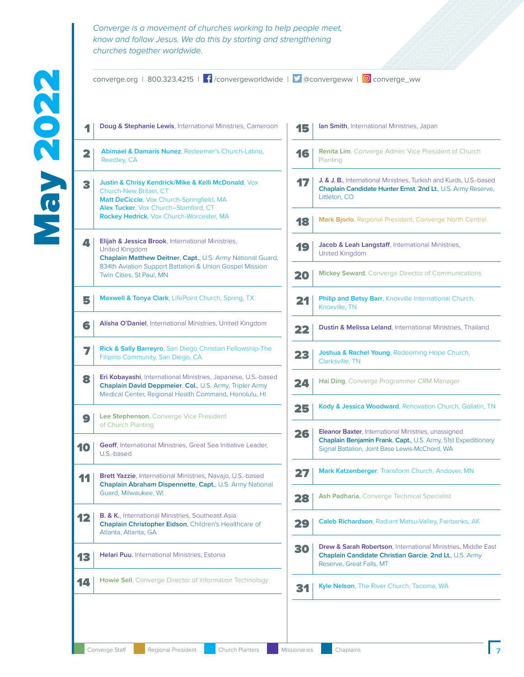converge.org | 800.323.4215 |  $\int$  /convergeworldwide |  $\int$  @convergeww | © converge\_ww 1 **Doug & Stephanie Lewis**, International Ministries, Cameroon 2 **Abimael & Damaris Nunez**, Redeemer's Church-Latino, Reedley, CA **3** Justin & Chrisy Kendrick/Mike & Kelli McDonald, Vox Church-New Britain, CT **Matt DeCiccio**, Vox Church-Springfield, MA **Alex Tucker**, Vox Church–Stamford, CT **Rockey Hedrick**, Vox Church-Worcester, MA 4 **Elijah & Jessica Brook**, International Ministries, United Kingdom **Chaplain Matthew Deitner**, **Capt.**, U.S. Army National Guard, 834th Aviation Support Battalion & Union Gospel Mission Twin Cities, St Paul, MN **5 Maxwell & Tonya Clark**, LifePoint Church, Spring, TX 6 **Alisha O'Daniel**, International Ministries, United Kingdom 7 **Rick & Sally Barreyro**, San Diego Christian Fellowship-The Filipino Community, San Diego, CA 8 **Eri Kobayashi**, International Ministries, Japanese, U.S.-based **Chaplain David Deppmeier**, **Col.**, U.S. Army, Tripler Army Medical Center, Regional Health Command, Honolulu, HI **9 Lee Stephenson**, Converge Vice President of Church Planting **10 Geoff**, International Ministries, Great Sea Initiative Leader, U.S.-based **11** Brett Yazzie, International Ministries, Navajo, U.S.-based **Chaplain Abraham Dispennette**, **Capt.**, U.S. Army National Guard, Milwaukee, WI **12 B. & K.**, International Ministries, Southeast Asia **Chaplain Christopher Eidson**, Children's Healthcare of Atlanta, Atlanta, GA 13 **Helari Puu**, International Ministries, Estonia **14** | Howie Sell, Converge Director of Information Technology 15 **Ian Smith**, International Ministries, Japan **16 Renita Lim**, Converge Admin. Vice President of Church Planting **17** J. & J. B., International Ministries, Turkish and Kurds, U.S.-based **Chaplain Candidate Hunter Ernst**, **2nd Lt.**, U.S. Army Reserve, Littleton, CO 18 **Mark Bjorlo**, Regional President, Converge North Central 19 **Jacob & Leah Langstaff**, International Ministries, United Kingdom **20 Mickey Seward**, Converge Director of Communications 21 **Philip and Betsy Barr**, Knoxville International Church, Knoxville, TN **22 Dustin & Melissa Leland**, International Ministries, Thailand 23 **Joshua & Rachel Young**, Redeeming Hope Church, Clarksville, TN **24 Hai Ding**, Converge Programmer CRM Manager 25 **Kody & Jessica Woodward**, Renovation Church, Gallatin, TN **26 Eleanor Baxter**, International Ministries, unassigned **Chaplain Benjamin Frank**, **Capt.**, U.S. Army, 51st Expeditionary Signal Battalion, Joint Base Lewis-McChord, WA **27** Mark Katzenberger, Transform Church, Andover, MN **28** Ash Padharia, Converge Technical Specialist 29 **Caleb Richardson**, Radiant Matsu-Valley, Fairbanks, AK **30 Drew & Sarah Robertson**, International Ministries, Middle East **Chaplain Candidate Christian Garcie**, **2nd Lt.**, U.S. Army Reserve, Great Falls, MT **31 Kyle Nelson**, The River Church, Tacoma, WA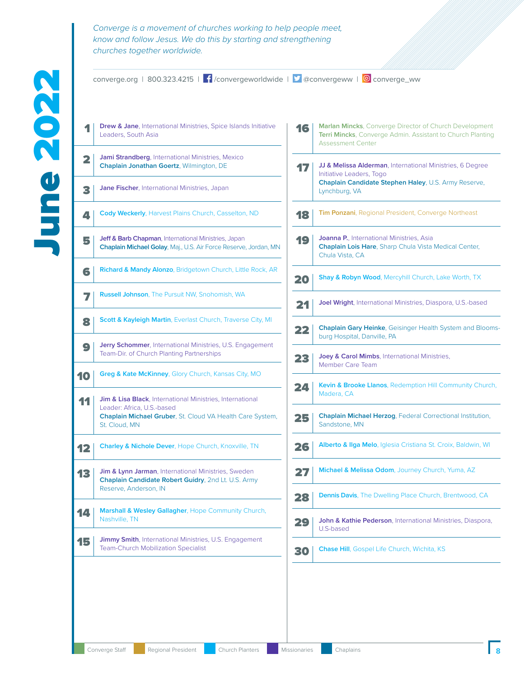|    | Converge is a movement of churches working to help people meet,<br>know and follow Jesus. We do this by starting and strengthening<br>churches together worldwide. |    |                                                                                                                                                  |
|----|--------------------------------------------------------------------------------------------------------------------------------------------------------------------|----|--------------------------------------------------------------------------------------------------------------------------------------------------|
|    | converge.org   800.323.4215   $\int$ / convergeworldwide   $\blacktriangleright$ @convergeww   © converge_ww                                                       |    |                                                                                                                                                  |
|    | Drew & Jane, International Ministries, Spice Islands Initiative<br>Leaders, South Asia                                                                             | 16 | Marlan Mincks, Converge Director of Church Development<br>Terri Mincks, Converge Admin. Assistant to Church Planting<br><b>Assessment Center</b> |
|    | Jami Strandberg, International Ministries, Mexico<br>Chaplain Jonathan Goertz, Wilmington, DE                                                                      | 17 | JJ & Melissa Alderman, International Ministries, 6 Degree<br>Initiative Leaders, Togo                                                            |
| 3  | Jane Fischer, International Ministries, Japan                                                                                                                      |    | Chaplain Candidate Stephen Haley, U.S. Army Reserve,<br>Lynchburg, VA                                                                            |
| Д. | Cody Weckerly, Harvest Plains Church, Casselton, ND                                                                                                                | 18 | Tim Ponzani, Regional President, Converge Northeast                                                                                              |
| 5  | Jeff & Barb Chapman, International Ministries, Japan<br>Chaplain Michael Golay, Maj., U.S. Air Force Reserve, Jordan, MN                                           | 19 | Joanna P., International Ministries, Asia<br>Chaplain Lois Hare, Sharp Chula Vista Medical Center,<br>Chula Vista, CA                            |
| 6  | Richard & Mandy Alonzo, Bridgetown Church, Little Rock, AR                                                                                                         | 20 | Shay & Robyn Wood, Mercyhill Church, Lake Worth, TX                                                                                              |
|    | Russell Johnson, The Pursuit NW, Snohomish, WA                                                                                                                     | 24 | Joel Wright, International Ministries, Diaspora, U.S.-based                                                                                      |
|    | Scott & Kayleigh Martin, Everlast Church, Traverse City, MI                                                                                                        | 22 | <b>Chaplain Gary Heinke, Geisinger Health System and Blooms-</b>                                                                                 |
| 9  | Jerry Schommer, International Ministries, U.S. Engagement<br>Team-Dir. of Church Planting Partnerships                                                             | 23 | burg Hospital, Danville, PA<br>Joey & Carol Mimbs, International Ministries,                                                                     |
| 10 | Greg & Kate McKinney, Glory Church, Kansas City, MO                                                                                                                | 24 | Member Care Team<br>Kevin & Brooke Llanos, Redemption Hill Community Church,                                                                     |
| 11 | Jim & Lisa Black, International Ministries, International<br>Leader: Africa, U.S.-based                                                                            |    | Madera, CA                                                                                                                                       |
|    | Chaplain Michael Gruber, St. Cloud VA Health Care System,<br>St. Cloud, MN                                                                                         | 25 | Chaplain Michael Herzog, Federal Correctional Institution,<br>Sandstone, MN                                                                      |
| 12 | Charley & Nichole Dever, Hope Church, Knoxville, TN                                                                                                                | 26 | <b>Alberto &amp; Ilga Melo</b> , Iglesia Cristiana St. Croix, Baldwin, WI                                                                        |
|    | Jim & Lynn Jarman, International Ministries, Sweden                                                                                                                | 27 | Michael & Melissa Odom, Journey Church, Yuma, AZ                                                                                                 |

13 **Jim & Lynn Jarman**, International Ministries, Sweden **Chaplain Candidate Robert Guidry**, 2nd Lt. U.S. Army Reserve, Anderson, IN

**14 Marshall & Wesley Gallagher**, Hope Community Church, Nashville, TN

**15** Jimmy Smith, International Ministries, U.S. Engagement Team-Church Mobilization Specialist

**28 Dennis Davis**, The Dwelling Place Church, Brentwood, CA 29 **John & Kathie Pederson**, International Ministries, Diaspora, U.S-based

**30** Chase Hill, Gospel Life Church, Wichita, KS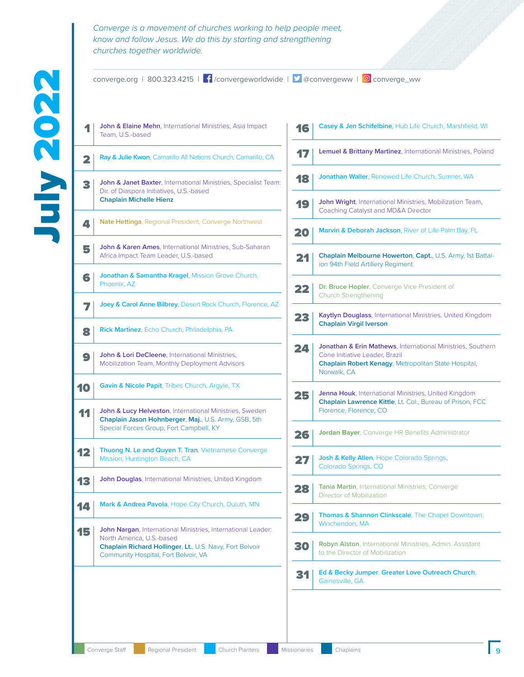converge.org | 800.323.4215 |  $\int$  /convergeworldwide |  $\int$  @convergeww | © converge\_ww

1 John & Elaine Mehn, International Ministries, Asia Impact Team, U.S.-based

**2 Ray & Julie Kwon**, Camarillo All Nations Church, Camarillo, CA

**3** John & Janet Baxter, International Ministries, Specialist Team: Dir. of Diaspora Initiatives, U.S.-based **Chaplain Michelle Hienz**

**A.** Nate Hettinga, Regional President, Converge Northwest

**5** John & Karen Ames, International Ministries, Sub-Saharan Africa Impact Team Leader, U.S.-based

**6** Jonathan & Samantha Kragel, Mission Grove Church, Phoenix, AZ

7 **Joey & Carol Anne Bilbrey**, Desert Rock Church, Florence, AZ

8 **Rick Martinez**, Echo Church, Philadelphia, PA

**9** John & Lori DeCleene, International Ministries, Mobilization Team, Monthly Deployment Advisors

**10 Gavin & Nicole Papit**, Tribes Church, Argyle, TX

11 John & Lucy Helveston, International Ministries, Sweden **Chaplain Jason Hohnberger**, **Maj.**, U.S. Army, GSB, 5th Special Forces Group, Fort Campbell, KY

12 **Thuong N. Le and Quyen T. Tran**, Vietnamese Converge Mission, Huntington Beach, CA

13 **John Douglas**, International Ministries, United Kingdom

**14 Mark & Andrea Pavola**, Hope City Church, Duluth, MN

15 **John Nargan**, International Ministries, International Leader: North America, U.S.-based **Chaplain Richard Hollinger**, **Lt.**, U.S. Navy, Fort Belvoir Community Hospital, Fort Belvoir, VA

| 16 | Casey & Jen Schifelbine, Hub Life Church, Marshfield, WI                                                                                                                    |
|----|-----------------------------------------------------------------------------------------------------------------------------------------------------------------------------|
| 17 | Lemuel & Brittany Martinez, International Ministries, Poland                                                                                                                |
| 18 | <b>Jonathan Waller, Renewed Life Church, Sumner, WA</b>                                                                                                                     |
| 19 | <b>John Wright, International Ministries, Mobilization Team,</b><br>Coaching Catalyst and MD&A Director                                                                     |
| 20 | Marvin & Deborah Jackson, River of Life-Palm Bay, FL                                                                                                                        |
| 21 | <b>Chaplain Melbourne Howerton, Capt., U.S. Army, 1st Battal-</b><br>ion 94th Field Artillery Regiment                                                                      |
| 22 | <b>Dr. Bruce Hopler, Converge Vice President of</b><br>Church Strengthening                                                                                                 |
| 23 | <b>Kaytlyn Douglass</b> , International Ministries, United Kingdom<br><b>Chaplain Virgil Iverson</b>                                                                        |
| 24 | Jonathan & Erin Mathews, International Ministries, Southern<br>Cone Initiative Leader, Brazil<br><b>Chaplain Robert Kenagy, Metropolitan State Hospital,</b><br>Norwalk, CA |
| 25 | <b>Jenna Houk, International Ministries, United Kingdom</b><br><b>Chaplain Lawrence Kittle, Lt. Col., Bureau of Prison, FCC</b><br>Florence, Florence, CO                   |
| 26 | <b>Jordan Bayer</b> , Converge HR Benefits Administrator                                                                                                                    |
| 27 | <b>Josh &amp; Kelly Allen, Hope Colorado Springs,</b><br>Colorado Springs, CO                                                                                               |
| 28 | <b>Tania Martin, International Ministries, Converge</b><br>Director of Mobilization                                                                                         |
| 29 | <b>Thomas &amp; Shannon Clinkscale, The Chapel Downtown,</b><br>Winchendon, MA                                                                                              |
| 30 | Robyn Alston, International Ministries, Admin. Assistant<br>to the Director of Mobilization                                                                                 |
| 31 | Ed & Becky Jumper, Greater Love Outreach Church,<br>Gainesville, GA                                                                                                         |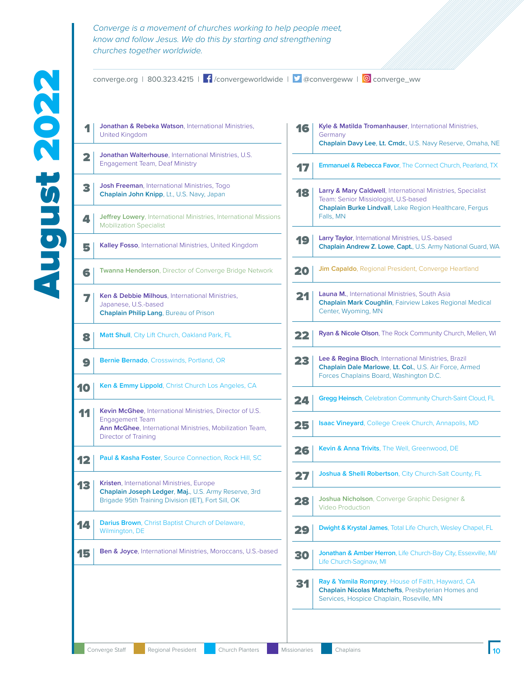converge.org | 800.323.4215 |  $\int$  /convergeworldwide |  $\int$  @convergeww | © converge\_ww

**1** Jonathan & Rebeka Watson, International Ministries, United Kingdom **2** Jonathan Walterhouse, International Ministries, U.S. Engagement Team, Deaf Ministry 3 **Josh Freeman**, International Ministries, Togo **Chaplain John Knipp**, Lt., U.S. Navy, Japan **4 Jeffrey Lowery**, International Ministries, International Missions Mobilization Specialist 5 **Kalley Fosso**, International Ministries, United Kingdom 6 **Twanna Henderson**, Director of Converge Bridge Network **7 Ken & Debbie Milhous**, International Ministries, Japanese, U.S.-based **Chaplain Philip Lang**, Bureau of Prison 8 **Matt Shull**, City Lift Church, Oakland Park, FL 9 **Bernie Bernado**, Crosswinds, Portland, OR 10 **Ken & Emmy Lippold**, Christ Church Los Angeles, CA 11 **Kevin McGhee**, International Ministries, Director of U.S. Engagement Team **Ann McGhee**, International Ministries, Mobilization Team, Director of Training **12 Paul & Kasha Foster**, Source Connection, Rock Hill, SC 13 **Kristen**, International Ministries, Europe **Chaplain Joseph Ledger**, **Maj.**, U.S. Army Reserve, 3rd Brigade 95th Training Division (IET), Fort Sill, OK **14 Darius Brown**, Christ Baptist Church of Delaware, Wilmington, DE **15 Ben & Joyce**, International Ministries, Moroccans, U.S.-based

| 16  | Kyle & Matilda Tromanhauser, International Ministries,<br>Germany<br>Chaplain Davy Lee, Lt. Cmdr., U.S. Navy Reserve, Omaha, NE                                                                 |
|-----|-------------------------------------------------------------------------------------------------------------------------------------------------------------------------------------------------|
| 17  | <b>Emmanuel &amp; Rebecca Favor, The Connect Church, Pearland, TX</b>                                                                                                                           |
| 18  | <b>Larry &amp; Mary Caldwell</b> , International Ministries, Specialist<br>Team: Senior Missiologist, U.S-based<br><b>Chaplain Burke Lindvall</b> , Lake Region Healthcare, Fergus<br>Falls, MN |
| 19  | <b>Larry Taylor, International Ministries, U.S.-based</b><br>Chaplain Andrew Z. Lowe, Capt., U.S. Army National Guard, WA                                                                       |
| 20  | <b>Jim Capaldo, Regional President, Converge Heartland</b>                                                                                                                                      |
| 21  | Launa M., International Ministries, South Asia<br><b>Chaplain Mark Coughlin, Fairview Lakes Regional Medical</b><br>Center, Wyoming, MN                                                         |
| 22  | Ryan & Nicole Olson, The Rock Community Church, Mellen, WI                                                                                                                                      |
| 23  | Lee & Regina Bloch, International Ministries, Brazil<br>Chaplain Dale Marlowe, Lt. Col., U.S. Air Force, Armed<br>Forces Chaplains Board, Washington D.C.                                       |
| 24  | <b>Gregg Heinsch, Celebration Community Church-Saint Cloud, FL</b>                                                                                                                              |
| 25  | <b>Isaac Vineyard</b> , College Creek Church, Annapolis, MD                                                                                                                                     |
| 26  | <b>Kevin &amp; Anna Trivits</b> , The Well, Greenwood, DE                                                                                                                                       |
| 27  | <b>Joshua &amp; Shelli Robertson, City Church-Salt County, FL</b>                                                                                                                               |
| 28  | Joshua Nicholson, Converge Graphic Designer &<br><b>Video Production</b>                                                                                                                        |
| 29  | <b>Dwight &amp; Krystal James, Total Life Church, Wesley Chapel, FL</b>                                                                                                                         |
| 30  | Jonathan & Amber Herron, Life Church-Bay City, Essexville, MI/<br>Life Church-Saginaw, MI                                                                                                       |
| C41 | <b>Ray &amp; Yamila Romprey, House of Faith, Hayward, CA</b><br>Chaplain Nicolas Matchefts, Presbyterian Homes and<br>Services, Hospice Chaplain, Roseville, MN                                 |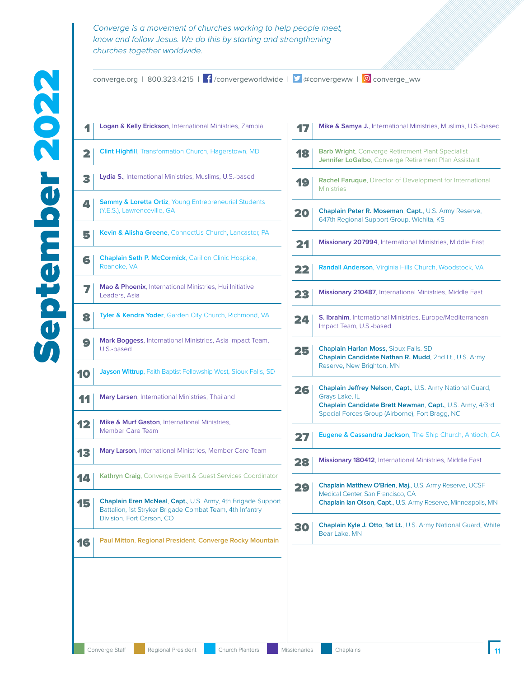converge.org | 800.323.4215 |  $\int$  /convergeworldwide |  $\int$  @convergeww | © converge\_ww

| <b>Logan &amp; Kelly Erickson</b> , International Ministries, Zambia                                                                                        |
|-------------------------------------------------------------------------------------------------------------------------------------------------------------|
| <b>Clint Highfill</b> , Transformation Church, Hagerstown, MD                                                                                               |
| <b>Lydia S., International Ministries, Muslims, U.S.-based</b>                                                                                              |
| <b>Sammy &amp; Loretta Ortiz, Young Entrepreneurial Students</b><br>(Y.E.S.), Lawrenceville, GA                                                             |
| Kevin & Alisha Greene, ConnectUs Church, Lancaster, PA                                                                                                      |
| <b>Chaplain Seth P. McCormick, Carilion Clinic Hospice,</b><br>Roanoke, VA                                                                                  |
| Mao & Phoenix, International Ministries, Hui Initiative<br>Leaders, Asia                                                                                    |
| Tyler & Kendra Yoder, Garden City Church, Richmond, VA                                                                                                      |
| Mark Boggess, International Ministries, Asia Impact Team,<br>U.S.-based                                                                                     |
| <b>Jayson Wittrup, Faith Baptist Fellowship West, Sioux Falls, SD</b>                                                                                       |
| Mary Larsen, International Ministries, Thailand                                                                                                             |
| <b>Mike &amp; Murf Gaston, International Ministries,</b><br><b>Member Care Team</b>                                                                         |
| Mary Larson, International Ministries, Member Care Team                                                                                                     |
| <b>Kathryn Craig</b> , Converge Event & Guest Services Coordinator                                                                                          |
| <b>Chaplain Eren McNeal, Capt., U.S. Army, 4th Brigade Support</b><br>Battalion, 1st Stryker Brigade Combat Team, 4th Infantry<br>Division, Fort Carson, CO |
| Paul Mitton, Regional President, Converge Rocky Mountain                                                                                                    |
|                                                                                                                                                             |
|                                                                                                                                                             |
|                                                                                                                                                             |

|    | Mike & Samya J., International Ministries, Muslims, U.S.-based                                                                                                                             |  |
|----|--------------------------------------------------------------------------------------------------------------------------------------------------------------------------------------------|--|
| 18 | <b>Barb Wright, Converge Retirement Plant Specialist</b><br>Jennifer LoGalbo, Converge Retirement Plan Assistant                                                                           |  |
| 19 | <b>Rachel Farugue, Director of Development for International</b><br><b>Ministries</b>                                                                                                      |  |
| 20 | Chaplain Peter R. Moseman, Capt., U.S. Army Reserve,<br>647th Regional Support Group, Wichita, KS                                                                                          |  |
| 21 | Missionary 207994, International Ministries, Middle East                                                                                                                                   |  |
| 22 | Randall Anderson, Virginia Hills Church, Woodstock, VA                                                                                                                                     |  |
| 23 | <b>Missionary 210487</b> , International Ministries, Middle East                                                                                                                           |  |
| 24 | S. Ibrahim, International Ministries, Europe/Mediterranean<br>Impact Team, U.S.-based                                                                                                      |  |
| 25 | Chaplain Harlan Moss, Sioux Falls. SD<br>Chaplain Candidate Nathan R. Mudd, 2nd Lt., U.S. Army<br>Reserve, New Brighton, MN                                                                |  |
| 26 | Chaplain Jeffrey Nelson, Capt., U.S. Army National Guard,<br>Grays Lake, IL<br>Chaplain Candidate Brett Newman, Capt., U.S. Army, 4/3rd<br>Special Forces Group (Airborne), Fort Bragg, NC |  |
| 27 | <b>Eugene &amp; Cassandra Jackson</b> , The Ship Church, Antioch, CA                                                                                                                       |  |
| 28 | Missionary 180412, International Ministries, Middle East                                                                                                                                   |  |
| 29 | Chaplain Matthew O'Brien, Maj., U.S. Army Reserve, UCSF<br>Medical Center, San Francisco, CA<br>Chaplain lan Olson, Capt., U.S. Army Reserve, Minneapolis, MN                              |  |
| 30 | Chaplain Kyle J. Otto, 1st Lt., U.S. Army National Guard, White<br>Bear Lake, MN                                                                                                           |  |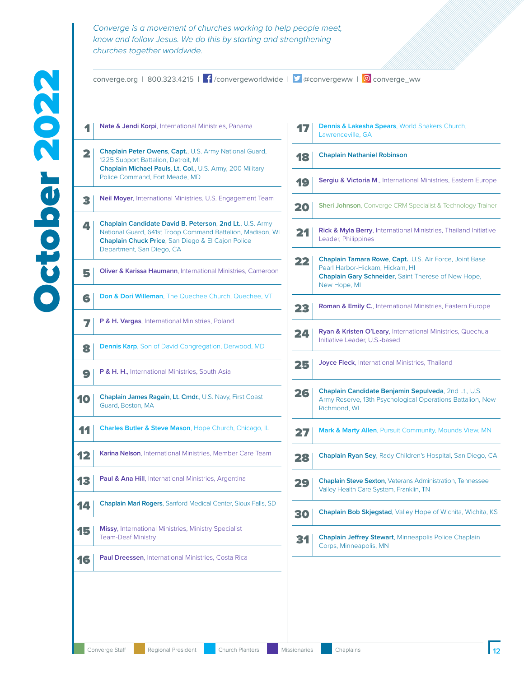converge.org | 800.323.4215 |  $\int$  /convergeworldwide |  $\int$  @convergeww | © converge\_ww **Nate & Jendi Korpi**, International Ministries, Panama **Chaplain Peter Owens**, **Capt.**, U.S. Army National Guard, 1225 Support Battalion, Detroit, MI **Chaplain Michael Pauls**, **Lt. Col.**, U.S. Army, 200 Military Police Command, Fort Meade, MD **Neil Moyer**, International Ministries, U.S. Engagement Team **Chaplain Candidate David B. Peterson**, **2nd Lt.**, U.S. Army National Guard, 641st Troop Command Battalion, Madison, WI **Chaplain Chuck Price**, San Diego & El Cajon Police Department, San Diego, CA **Oliver & Karissa Haumann**, International Ministries, Cameroon **Don & Dori Willeman**, The Quechee Church, Quechee, VT **P & H. Vargas**, International Ministries, Poland **Dennis Karp**, Son of David Congregation, Derwood, MD **P & H. H.**, International Ministries, South Asia **Chaplain James Ragain**, **Lt. Cmdr.**, U.S. Navy, First Coast Guard, Boston, MA Charles Butler & Steve Mason, Hope Church, Chicago, IL **Karina Nelson**, International Ministries, Member Care Team **Paul & Ana Hill**, International Ministries, Argentina Chaplain Mari Rogers, Sanford Medical Center, Sioux Falls, SD Missy, International Ministries, Ministry Specialist Team-Deaf Ministry **Paul Dreessen**, International Ministries, Costa Rica

| 17 | <b>Dennis &amp; Lakesha Spears, World Shakers Church,</b><br>Lawrenceville, GA                                                                                    |
|----|-------------------------------------------------------------------------------------------------------------------------------------------------------------------|
| 18 | <b>Chaplain Nathaniel Robinson</b>                                                                                                                                |
| 19 | Sergiu & Victoria M., International Ministries, Eastern Europe                                                                                                    |
| 20 | Sheri Johnson, Converge CRM Specialist & Technology Trainer                                                                                                       |
| 21 | Rick & Myla Berry, International Ministries, Thailand Initiative<br>Leader, Philippines                                                                           |
| 22 | Chaplain Tamara Rowe, Capt., U.S. Air Force, Joint Base<br>Pearl Harbor-Hickam, Hickam, HI<br>Chaplain Gary Schneider, Saint Therese of New Hope,<br>New Hope, MI |
| 23 | Roman & Emily C., International Ministries, Eastern Europe                                                                                                        |
| 24 | Ryan & Kristen O'Leary, International Ministries, Quechua<br>Initiative Leader, U.S.-based                                                                        |
| 25 | Joyce Fleck, International Ministries, Thailand                                                                                                                   |
| 26 | Chaplain Candidate Benjamin Sepulveda, 2nd Lt., U.S.<br>Army Reserve, 13th Psychological Operations Battalion, New<br>Richmond, WI                                |
| 27 | Mark & Marty Allen, Pursuit Community, Mounds View, MN                                                                                                            |
| 28 | <b>Chaplain Ryan Sey, Rady Children's Hospital, San Diego, CA</b>                                                                                                 |
| 29 | <b>Chaplain Steve Sexton, Veterans Administration, Tennessee</b><br>Valley Health Care System, Franklin, TN                                                       |
| 30 | <b>Chaplain Bob Skjegstad, Valley Hope of Wichita, Wichita, KS</b>                                                                                                |
| 31 | Chaplain Jeffrey Stewart, Minneapolis Police Chaplain<br>Corps, Minneapolis, MN                                                                                   |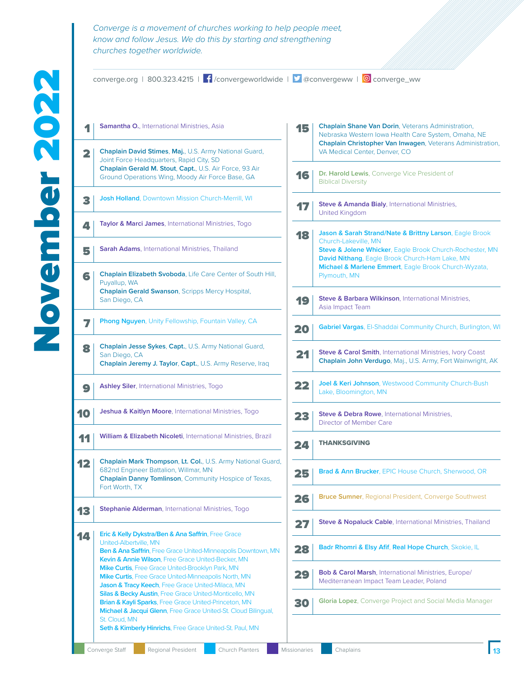| Converge is a movement of churches working to help people meet. |
|-----------------------------------------------------------------|
| know and follow Jesus. We do this by starting and strengthening |
| churches together worldwide.                                    |
|                                                                 |
|                                                                 |

| <b>Samantha O., International Ministries, Asia</b>                                                                                                                                                 |                                                                                                                                                                                                                                                                                                                                                                             | Chaplain Shane Van Dorin, Veterans Administration,<br>15<br>Nebraska Western Iowa Health Care System, Omaha, NE<br>Chaplain Christopher Van Inwagen, Veterans Administration, |
|----------------------------------------------------------------------------------------------------------------------------------------------------------------------------------------------------|-----------------------------------------------------------------------------------------------------------------------------------------------------------------------------------------------------------------------------------------------------------------------------------------------------------------------------------------------------------------------------|-------------------------------------------------------------------------------------------------------------------------------------------------------------------------------|
| Chaplain David Stimes, Maj., U.S. Army National Guard,<br>Joint Force Headquarters, Rapid City, SD                                                                                                 |                                                                                                                                                                                                                                                                                                                                                                             | VA Medical Center, Denver, CO                                                                                                                                                 |
| Ground Operations Wing, Moody Air Force Base, GA                                                                                                                                                   | 16                                                                                                                                                                                                                                                                                                                                                                          | Dr. Harold Lewis, Converge Vice President of<br><b>Biblical Diversity</b>                                                                                                     |
| <b>Josh Holland, Downtown Mission Church-Merrill, WI</b>                                                                                                                                           | 17                                                                                                                                                                                                                                                                                                                                                                          | Steve & Amanda Bialy, International Ministries,<br><b>United Kingdom</b>                                                                                                      |
| Taylor & Marci James, International Ministries, Togo                                                                                                                                               | 18                                                                                                                                                                                                                                                                                                                                                                          | Jason & Sarah Strand/Nate & Brittny Larson, Eagle Brook                                                                                                                       |
| <b>Sarah Adams, International Ministries, Thailand</b>                                                                                                                                             |                                                                                                                                                                                                                                                                                                                                                                             | Church-Lakeville, MN<br>Steve & Jolene Whicker, Eagle Brook Church-Rochester, MN<br>David Nithang, Eagle Brook Church-Ham Lake, MN                                            |
| Chaplain Elizabeth Svoboda, Life Care Center of South Hill,<br>Puyallup, WA                                                                                                                        |                                                                                                                                                                                                                                                                                                                                                                             | Michael & Marlene Emmert, Eagle Brook Church-Wyzata,<br>Plymouth, MN                                                                                                          |
| <b>Chaplain Gerald Swanson, Scripps Mercy Hospital,</b><br>San Diego, CA                                                                                                                           | 19                                                                                                                                                                                                                                                                                                                                                                          | Steve & Barbara Wilkinson, International Ministries,<br>Asia Impact Team                                                                                                      |
| Phong Nguyen, Unity Fellowship, Fountain Valley, CA                                                                                                                                                | 20                                                                                                                                                                                                                                                                                                                                                                          | Gabriel Vargas, El-Shaddai Community Church, Burlington, WI                                                                                                                   |
| Chaplain Jesse Sykes, Capt., U.S. Army National Guard,<br>San Diego, CA<br>Chaplain Jeremy J. Taylor, Capt., U.S. Army Reserve, Iraq                                                               | 21                                                                                                                                                                                                                                                                                                                                                                          | <b>Steve &amp; Carol Smith, International Ministries, Ivory Coast</b><br>Chaplain John Verdugo, Maj., U.S. Army, Fort Wainwright, AK                                          |
| Ashley Siler, International Ministries, Togo                                                                                                                                                       | 22                                                                                                                                                                                                                                                                                                                                                                          | Joel & Keri Johnson, Westwood Community Church-Bush<br>Lake, Bloomington, MN                                                                                                  |
| Jeshua & Kaitlyn Moore, International Ministries, Togo                                                                                                                                             | 23                                                                                                                                                                                                                                                                                                                                                                          | Steve & Debra Rowe, International Ministries,<br>Director of Member Care                                                                                                      |
| William & Elizabeth Nicoleti, International Ministries, Brazil                                                                                                                                     | 24                                                                                                                                                                                                                                                                                                                                                                          | <b>THANKSGIVING</b>                                                                                                                                                           |
| Chaplain Mark Thompson, Lt. Col., U.S. Army National Guard,<br>682nd Engineer Battalion, Willmar, MN<br>Chaplain Danny Tomlinson, Community Hospice of Texas,                                      | 25                                                                                                                                                                                                                                                                                                                                                                          | Brad & Ann Brucker, EPIC House Church, Sherwood, OR                                                                                                                           |
|                                                                                                                                                                                                    | 26                                                                                                                                                                                                                                                                                                                                                                          | <b>Bruce Sumner, Regional President, Converge Southwest</b>                                                                                                                   |
|                                                                                                                                                                                                    | 27                                                                                                                                                                                                                                                                                                                                                                          | Steve & Nopaluck Cable, International Ministries, Thailand                                                                                                                    |
| United-Albertville, MN<br>Ben & Ana Saffrin, Free Grace United-Minneapolis Downtown, MN                                                                                                            | 28                                                                                                                                                                                                                                                                                                                                                                          | Badr Rhomri & Elsy Afif, Real Hope Church, Skokie, IL                                                                                                                         |
| Mike Curtis, Free Grace United-Brooklyn Park, MN<br>Mike Curtis, Free Grace United-Minneapolis North, MN                                                                                           | 29                                                                                                                                                                                                                                                                                                                                                                          | Bob & Carol Marsh, International Ministries, Europe/<br>Mediterranean Impact Team Leader, Poland                                                                              |
| Silas & Becky Austin, Free Grace United-Monticello, MN<br>Brian & Kayli Sparks, Free Grace United-Princeton, MN<br>Michael & Jacqui Glenn, Free Grace United-St. Cloud Bilingual,<br>St. Cloud, MN |                                                                                                                                                                                                                                                                                                                                                                             | <b>Gloria Lopez</b> , Converge Project and Social Media Manager                                                                                                               |
|                                                                                                                                                                                                    | Chaplain Gerald M. Stout, Capt., U.S. Air Force, 93 Air<br>Fort Worth, TX<br>Stephanie Alderman, International Ministries, Togo<br><b>Eric &amp; Kelly Dykstra/Ben &amp; Ana Saffrin, Free Grace</b><br>Kevin & Annie Wilson, Free Grace United-Becker, MN<br>Jason & Tracy Keech, Free Grace United-Milaca, MN<br>Seth & Kimberly Hinrichs, Free Grace United-St. Paul, MN | 30                                                                                                                                                                            |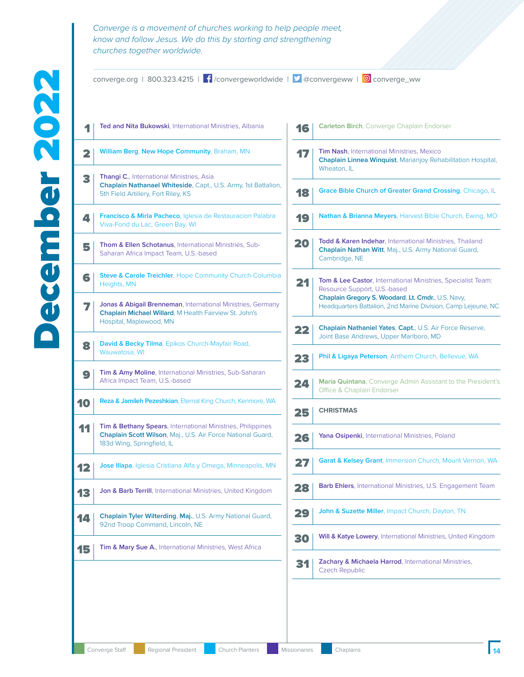converge.org | 800.323.4215 |  $\int$  /convergeworldwide |  $\int$  @convergeww | © converge\_ww **1** Ted and Nita Bukowski, International Ministries, Albania 2 **William Berg**, **New Hope Community**, Braham, MN **3** Thangi C., International Ministries, Asia **Chaplain Nathanael Whiteside**, Capt., U.S. Army, 1st Battalion, 5th Field Artillery, Fort Riley, KS **4** *Francisco & Mirla Pacheco*, Iglesia de Restauracion Palabra Viva-Fond du Lac, Green Bay, WI **5** Thom & Ellen Schotanus, International Ministries, Sub-Saharan Africa Impact Team, U.S.-based **6** Steve & Carole Treichler, Hope Community Church-Columbia Heights, MN 7 **Jonas & Abigail Brenneman**, International Ministries, Germany **Chaplain Michael Willard**, M Health Fairview St. John's Hospital, Maplewood, MN 8 **David & Becky Tilma**, Epikos Church-Mayfair Road, Wauwatosa, WI **9** Tim & Amy Moline, International Ministries, Sub-Saharan Africa Impact Team, U.S.-based 10 **Reza & Jamileh Pezeshkian**, Eternal King Church, Kenmore, WA **11** Tim & Bethany Spears, International Ministries, Philippines **Chaplain Scott Wilson**, Maj., U.S. Air Force National Guard, 183d Wing, Springfield, IL 12 **Jose Illapa**, Iglesia Cristiana Alfa y Omega, Minneapolis, MN 13 **Jon & Barb Terrill**, International Ministries, United Kingdom 14 **Chaplain Tyler Wilterding**, **Maj.**, U.S. Army National Guard, 92nd Troop Command, Lincoln, NE **15** Tim & Mary Sue A., International Ministries, West Africa

| 16 | <b>Carleton Birch, Converge Chaplain Endorser</b>                                                                                                                                                                               |
|----|---------------------------------------------------------------------------------------------------------------------------------------------------------------------------------------------------------------------------------|
| 17 | <b>Tim Nash, International Ministries, Mexico</b><br><b>Chaplain Linnea Winquist, Marianjoy Rehabilitation Hospital,</b><br>Wheaton, IL                                                                                         |
| 18 | <b>Grace Bible Church of Greater Grand Crossing, Chicago, IL</b>                                                                                                                                                                |
| 19 | <b>Nathan &amp; Brianna Meyers, Harvest Bible Church, Ewing, MO</b>                                                                                                                                                             |
| 20 | Todd & Karen Indehar, International Ministries, Thailand<br>Chaplain Nathan Witt, Maj., U.S. Army National Guard,<br>Cambridge, NE                                                                                              |
| 21 | <b>Tom &amp; Lee Castor</b> , International Ministries, Specialist Team:<br>Resource Support, U.S.-based<br>Chaplain Gregory S. Woodard, Lt. Cmdr., U.S. Navy,<br>Headquarters Battalion, 2nd Marine Division, Camp Lejeune, NC |
| 22 | <b>Chaplain Nathaniel Yates, Capt., U.S. Air Force Reserve,</b><br>Joint Base Andrews, Upper Marlboro, MD                                                                                                                       |
| 23 | <b>Phil &amp; Ligaya Peterson</b> , Anthem Church, Bellevue, WA                                                                                                                                                                 |
|    |                                                                                                                                                                                                                                 |
| 24 | <b>Maria Quintana,</b> Converge Admin Assistant to the President's<br><b>Office &amp; Chaplain Endorser</b>                                                                                                                     |
| 25 | <b>CHRISTMAS</b>                                                                                                                                                                                                                |
| 26 | Yana Osipenki, International Ministries, Poland                                                                                                                                                                                 |
| 27 | <b>Garat &amp; Kelsey Grant, Immersion Church, Mount Vernon, WA</b>                                                                                                                                                             |
| И. | <b>Barb Ehlers, International Ministries, U.S. Engagement Team</b>                                                                                                                                                              |
| 29 | <b>John &amp; Suzette Miller</b> , Impact Church, Dayton, TN                                                                                                                                                                    |
| 30 | <b>Will &amp; Katye Lowery</b> , International Ministries, United Kingdom                                                                                                                                                       |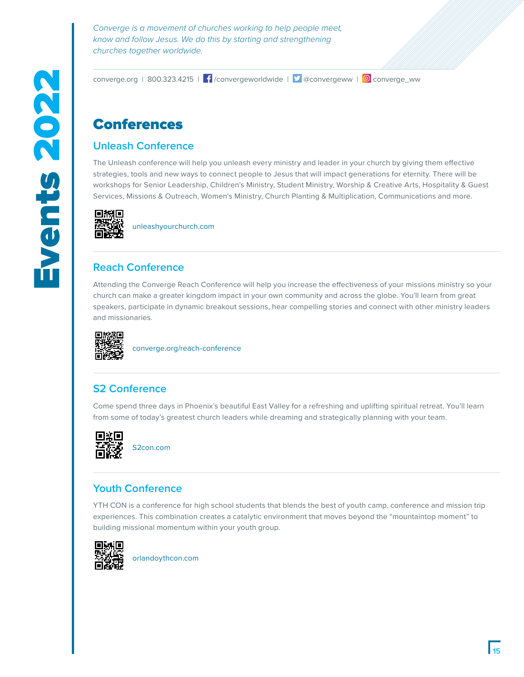converge.org | 800.323.4215 |  $\int$  /convergeworldwide |  $\int$  @convergeww | © converge\_ww

## Conferences

## **Unleash Conference**

The Unleash conference will help you unleash every ministry and leader in your church by giving them effective strategies, tools and new ways to connect people to Jesus that will impact generations for eternity. There will be workshops for Senior Leadership, Children's Ministry, Student Ministry, Worship & Creative Arts, Hospitality & Guest Services, Missions & Outreach, Women's Ministry, Church Planting & Multiplication, Communications and more.



unleashyourchurch.com

## **Reach Conference**

Attending the Converge Reach Conference will help you increase the effectiveness of your missions ministry so your church can make a greater kingdom impact in your own community and across the globe. You'll learn from great speakers, participate in dynamic breakout sessions, hear compelling stories and connect with other ministry leaders and missionaries.



converge.org/reach-conference

## **S2 Conference**

Come spend three days in Phoenix's beautiful East Valley for a refreshing and uplifting spiritual retreat. You'll learn from some of today's greatest church leaders while dreaming and strategically planning with your team.



S2con.com

### **Youth Conference**

YTH CON is a conference for high school students that blends the best of youth camp, conference and mission trip experiences. This combination creates a catalytic environment that moves beyond the "mountaintop moment" to building missional momentum within your youth group.



orlandoythcon.com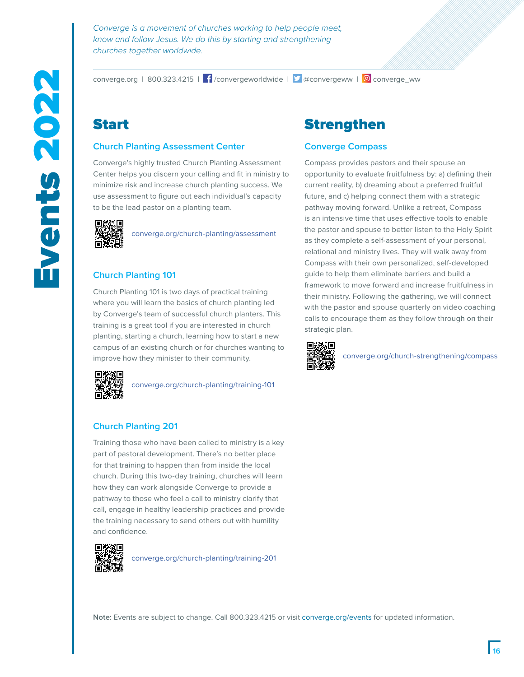converge.org | 800.323.4215 |  $\int$  /convergeworldwide |  $\int$  @convergeww | © converge\_ww

# Start

#### **Church Planting Assessment Center**

Converge's highly trusted Church Planting Assessment Center helps you discern your calling and fit in ministry to minimize risk and increase church planting success. We use assessment to figure out each individual's capacity to be the lead pastor on a planting team.



converge.org/church-planting/assessment

### **Church Planting 101**

Church Planting 101 is two days of practical training where you will learn the basics of church planting led by Converge's team of successful church planters. This training is a great tool if you are interested in church planting, starting a church, learning how to start a new campus of an existing church or for churches wanting to improve how they minister to their community.



converge.org/church-planting/training-101

#### **Church Planting 201**

Training those who have been called to ministry is a key part of pastoral development. There's no better place for that training to happen than from inside the local church. During this two-day training, churches will learn how they can work alongside Converge to provide a pathway to those who feel a call to ministry clarify that call, engage in healthy leadership practices and provide the training necessary to send others out with humility and confidence.



converge.org/church-planting/training-201

# Strengthen

#### **Converge Compass**

Compass provides pastors and their spouse an opportunity to evaluate fruitfulness by: a) defining their current reality, b) dreaming about a preferred fruitful future, and c) helping connect them with a strategic pathway moving forward. Unlike a retreat, Compass is an intensive time that uses effective tools to enable the pastor and spouse to better listen to the Holy Spirit as they complete a self-assessment of your personal, relational and ministry lives. They will walk away from Compass with their own personalized, self-developed guide to help them eliminate barriers and build a framework to move forward and increase fruitfulness in their ministry. Following the gathering, we will connect with the pastor and spouse quarterly on video coaching calls to encourage them as they follow through on their strategic plan.



converge.org/church-strengthening/compass

**Note:** Events are subject to change. Call 800.323.4215 or visit converge.org/events for updated information.